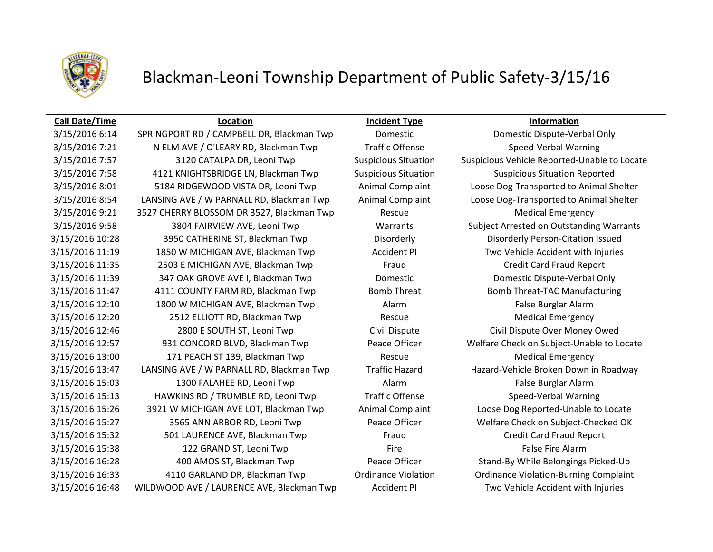

# Blackman-Leoni Township Department of Public Safety-3/15/16

## **Call Date/Time Location Incident Type Information**

3/15/2016 6:14 SPRINGPORT RD / CAMPBELL DR, Blackman Twp Domestic Domestic Dispute-Verbal Only 3/15/2016 7:21 N ELM AVE / O'LEARY RD, Blackman Twp Traffic Offense Speed-Verbal Warning 3/15/2016 7:57 3120 CATALPA DR, Leoni Twp Suspicious Situation Suspicious Vehicle Reported-Unable to Locate 3/15/2016 7:58 4121 KNIGHTSBRIDGE LN, Blackman Twp Suspicious Situation Suspicious Situation Reported 3/15/2016 8:01 5184 RIDGEWOOD VISTA DR, Leoni Twp Animal Complaint Loose Dog-Transported to Animal Shelter 3/15/2016 8:54 LANSING AVE / W PARNALL RD, Blackman Twp Animal Complaint Loose Dog-Transported to Animal Shelter 3/15/2016 9:21 3527 CHERRY BLOSSOM DR 3527, Blackman Twp Rescue Rescue Medical Emergency 3/15/2016 9:58 3804 FAIRVIEW AVE, Leoni Twp Warrants Subject Arrested on Outstanding Warrants 3/15/2016 10:28 3950 CATHERINE ST, Blackman Twp Disorderly Disorderly Person-Citation Issued 3/15/2016 11:19 1850 W MICHIGAN AVE, Blackman Twp **Accident PI** Two Vehicle Accident with Injuries 3/15/2016 11:35 2503 E MICHIGAN AVE, Blackman Twp Fraud Credit Card Fraud Report 3/15/2016 11:39 347 OAK GROVE AVE I, Blackman Twp Domestic Domestic Dispute-Verbal Only 3/15/2016 11:47 4111 COUNTY FARM RD, Blackman Twp Bomb Threat Bomb Threat Bomb Threat-TAC Manufacturing 3/15/2016 12:10 1800 W MICHIGAN AVE, Blackman Twp Alarm Alarm False Burglar Alarm 3/15/2016 12:20 2512 ELLIOTT RD, Blackman Twp Rescue Rescue Medical Emergency 3/15/2016 12:46 2800 E SOUTH ST, Leoni Twp Civil Dispute Civil Dispute Over Money Owed 3/15/2016 12:57 931 CONCORD BLVD, Blackman Twp Peace Officer Welfare Check on Subject-Unable to Locate 3/15/2016 13:00 171 PEACH ST 139, Blackman Twp Rescue Rescue Medical Emergency 3/15/2016 13:47 LANSING AVE / W PARNALL RD, Blackman Twp Traffic Hazard Hazard-Vehicle Broken Down in Roadway 3/15/2016 15:03 1300 FALAHEE RD, Leoni Twp Alarm Alarm Alarm False Burglar Alarm 3/15/2016 15:13 HAWKINS RD / TRUMBLE RD, Leoni Twp Traffic Offense Speed-Verbal Warning 3/15/2016 15:26 3921 W MICHIGAN AVE LOT, Blackman Twp Animal Complaint Loose Dog Reported-Unable to Locate 3/15/2016 15:27 3565 ANN ARBOR RD, Leoni Twp Peace Officer Welfare Check on Subject-Checked OK 3/15/2016 15:32 501 LAURENCE AVE, Blackman Twp Fraud Fraud Credit Card Fraud Report 3/15/2016 15:38 122 GRAND ST, Leoni Twp Fire Fire Fire False Fire Alarm 3/15/2016 16:28 400 AMOS ST, Blackman Twp Peace Officer Stand-By While Belongings Picked-Up 3/15/2016 16:33 4110 GARLAND DR, Blackman Twp Ordinance Violation Ordinance Violation-Burning Complaint 3/15/2016 16:48 WILDWOOD AVE / LAURENCE AVE, Blackman Twp Accident PI Two Vehicle Accident with Injuries